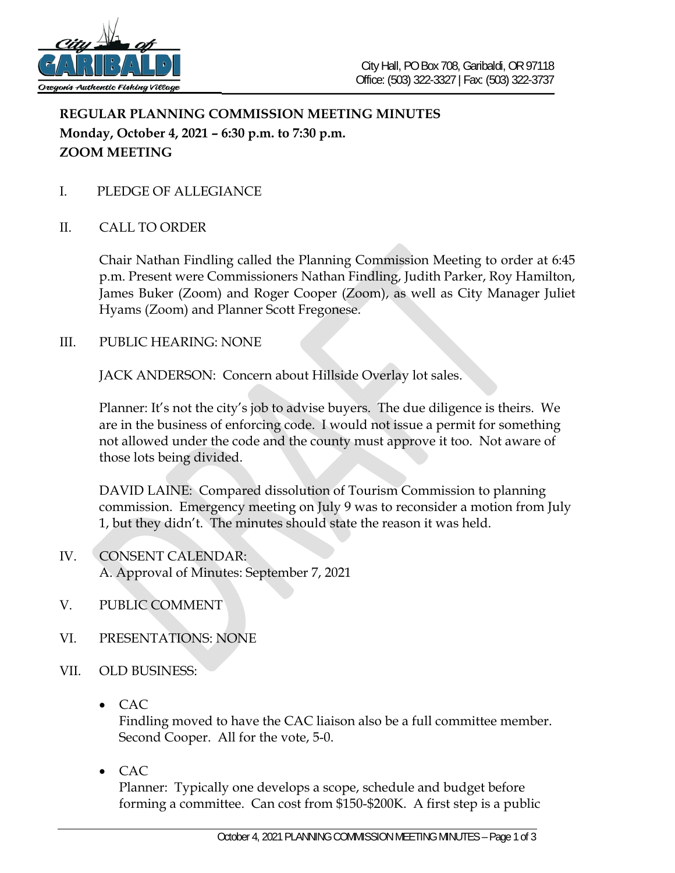

## **REGULAR PLANNING COMMISSION MEETING MINUTES Monday, October 4, 2021 – 6:30 p.m. to 7:30 p.m. ZOOM MEETING**

- I. PLEDGE OF ALLEGIANCE
- II. CALL TO ORDER

Chair Nathan Findling called the Planning Commission Meeting to order at 6:45 p.m. Present were Commissioners Nathan Findling, Judith Parker, Roy Hamilton, James Buker (Zoom) and Roger Cooper (Zoom), as well as City Manager Juliet Hyams (Zoom) and Planner Scott Fregonese.

III. PUBLIC HEARING: NONE

JACK ANDERSON: Concern about Hillside Overlay lot sales.

Planner: It's not the city's job to advise buyers. The due diligence is theirs. We are in the business of enforcing code. I would not issue a permit for something not allowed under the code and the county must approve it too. Not aware of those lots being divided.

DAVID LAINE: Compared dissolution of Tourism Commission to planning commission. Emergency meeting on July 9 was to reconsider a motion from July 1, but they didn't. The minutes should state the reason it was held.

- IV. CONSENT CALENDAR: A. Approval of Minutes: September 7, 2021
- V. PUBLIC COMMENT
- VI. PRESENTATIONS: NONE
- VII. OLD BUSINESS:
	- CAC

Findling moved to have the CAC liaison also be a full committee member. Second Cooper. All for the vote, 5-0.

• CAC

Planner: Typically one develops a scope, schedule and budget before forming a committee. Can cost from \$150-\$200K. A first step is a public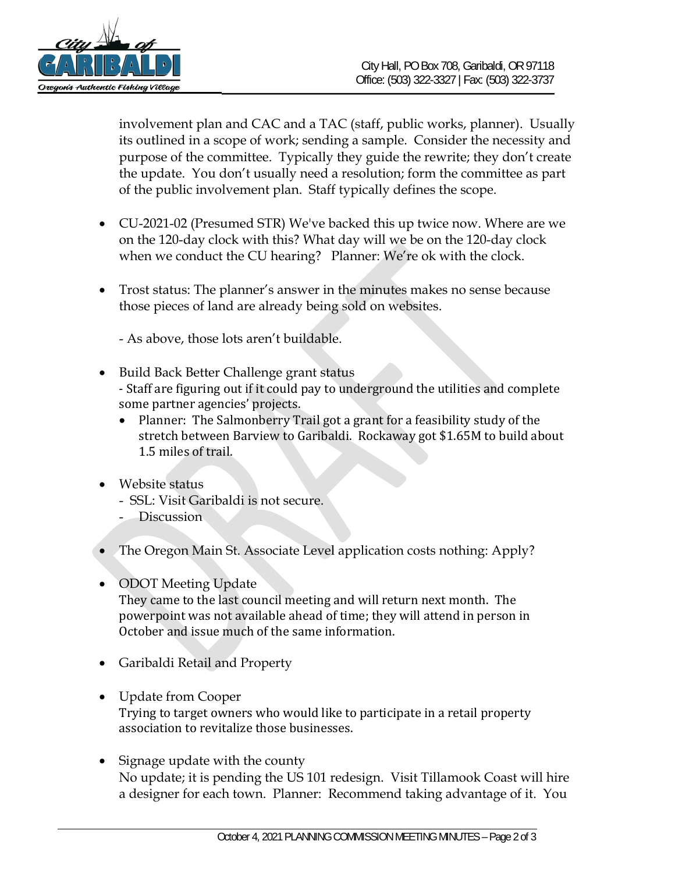

involvement plan and CAC and a TAC (staff, public works, planner). Usually its outlined in a scope of work; sending a sample. Consider the necessity and purpose of the committee. Typically they guide the rewrite; they don't create the update. You don't usually need a resolution; form the committee as part of the public involvement plan. Staff typically defines the scope.

- CU-2021-02 (Presumed STR) We've backed this up twice now. Where are we on the 120-day clock with this? What day will we be on the 120-day clock when we conduct the CU hearing? Planner: We're ok with the clock.
- Trost status: The planner's answer in the minutes makes no sense because those pieces of land are already being sold on websites.

- As above, those lots aren't buildable.

- Build Back Better Challenge grant status - Staff are figuring out if it could pay to underground the utilities and complete some partner agencies' projects.
	- Planner: The Salmonberry Trail got a grant for a feasibility study of the stretch between Barview to Garibaldi. Rockaway got \$1.65M to build about 1.5 miles of trail.
- Website status
	- SSL: Visit Garibaldi is not secure.
	- Discussion
- The Oregon Main St. Associate Level application costs nothing: Apply?
- ODOT Meeting Update

They came to the last council meeting and will return next month. The powerpoint was not available ahead of time; they will attend in person in October and issue much of the same information.

- Garibaldi Retail and Property
- Update from Cooper Trying to target owners who would like to participate in a retail property association to revitalize those businesses.
- Signage update with the county No update; it is pending the US 101 redesign. Visit Tillamook Coast will hire a designer for each town. Planner: Recommend taking advantage of it. You